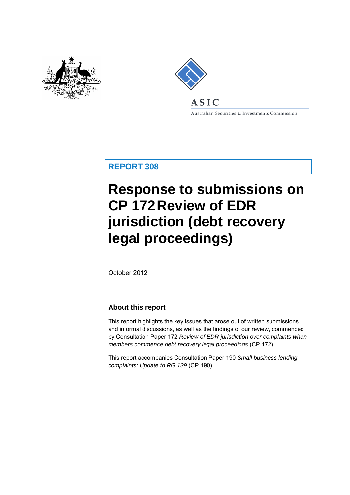



Australian Securities & Investments Commission

**REPORT 308**

# **Response to submissions on CP 172Review of EDR jurisdiction (debt recovery legal proceedings)**

October 2012

#### **About this report**

This report highlights the key issues that arose out of written submissions and informal discussions, as well as the findings of our review, commenced by Consultation Paper 172 *Review of EDR jurisdiction over complaints when members commence debt recovery legal proceedings* (CP 172).

This report accompanies Consultation Paper 190 *Small business lending complaints: Update to RG 139* (CP 190)*.*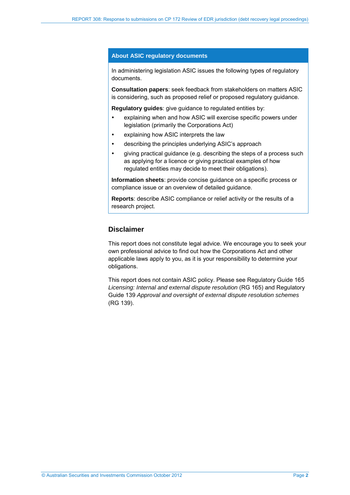#### **About ASIC regulatory documents**

In administering legislation ASIC issues the following types of regulatory documents.

**Consultation papers**: seek feedback from stakeholders on matters ASIC is considering, such as proposed relief or proposed regulatory guidance.

**Regulatory guides**: give guidance to regulated entities by:

- explaining when and how ASIC will exercise specific powers under legislation (primarily the Corporations Act)
- explaining how ASIC interprets the law
- describing the principles underlying ASIC's approach
- giving practical guidance (e.g. describing the steps of a process such as applying for a licence or giving practical examples of how regulated entities may decide to meet their obligations).

**Information sheets**: provide concise guidance on a specific process or compliance issue or an overview of detailed guidance.

**Reports**: describe ASIC compliance or relief activity or the results of a research project.

#### **Disclaimer**

This report does not constitute legal advice. We encourage you to seek your own professional advice to find out how the Corporations Act and other applicable laws apply to you, as it is your responsibility to determine your obligations.

This report does not contain ASIC policy. Please see Regulatory Guide 165 *Licensing: Internal and external dispute resolution* (RG 165) and Regulatory Guide 139 *Approval and oversight of external dispute resolution schemes* (RG 139).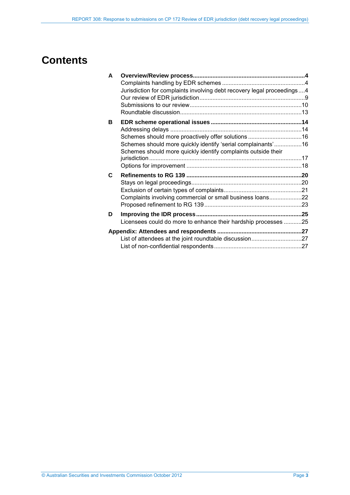## **Contents**

| A |                                                                                                                               |  |
|---|-------------------------------------------------------------------------------------------------------------------------------|--|
|   |                                                                                                                               |  |
|   | Jurisdiction for complaints involving debt recovery legal proceedings4                                                        |  |
|   |                                                                                                                               |  |
|   |                                                                                                                               |  |
|   |                                                                                                                               |  |
| в |                                                                                                                               |  |
|   |                                                                                                                               |  |
|   | Schemes should more proactively offer solutions 16                                                                            |  |
|   | Schemes should more quickly identify 'serial complainants'16<br>Schemes should more quickly identify complaints outside their |  |
|   |                                                                                                                               |  |
|   |                                                                                                                               |  |
| C |                                                                                                                               |  |
|   |                                                                                                                               |  |
|   |                                                                                                                               |  |
|   | Complaints involving commercial or small business loans22                                                                     |  |
|   |                                                                                                                               |  |
| D |                                                                                                                               |  |
|   | Licensees could do more to enhance their hardship processes 25                                                                |  |
|   |                                                                                                                               |  |
|   | List of attendees at the joint roundtable discussion27                                                                        |  |
|   |                                                                                                                               |  |
|   |                                                                                                                               |  |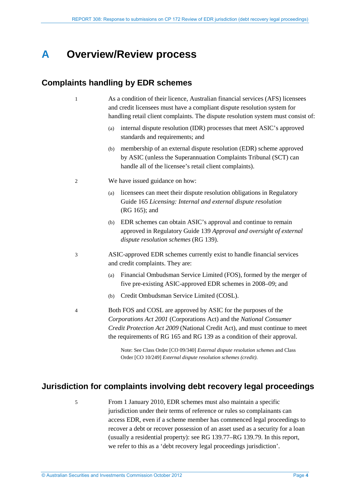## <span id="page-3-0"></span>**A Overview/Review process**

### <span id="page-3-1"></span>**Complaints handling by EDR schemes**

- 1 As a condition of their licence, Australian financial services (AFS) licensees and credit licensees must have a compliant dispute resolution system for handling retail client complaints. The dispute resolution system must consist of:
	- (a) internal dispute resolution (IDR) processes that meet ASIC's approved standards and requirements; and
	- (b) membership of an external dispute resolution (EDR) scheme approved by ASIC (unless the Superannuation Complaints Tribunal (SCT) can handle all of the licensee's retail client complaints).
- 2 We have issued guidance on how:
	- (a) licensees can meet their dispute resolution obligations in Regulatory Guide 165 *Licensing: Internal and external dispute resolution* (RG 165); and
	- (b) EDR schemes can obtain ASIC's approval and continue to remain approved in Regulatory Guide 139 *Approval and oversight of external dispute resolution schemes* (RG 139).
- 3 ASIC-approved EDR schemes currently exist to handle financial services and credit complaints. They are:
	- (a) Financial Ombudsman Service Limited (FOS), formed by the merger of five pre-existing ASIC-approved EDR schemes in 2008–09; and
	- (b) Credit Ombudsman Service Limited (COSL).
- 4 Both FOS and COSL are approved by ASIC for the purposes of the *Corporations Act 2001* (Corporations Act) and the *National Consumer Credit Protection Act 2009* (National Credit Act), and must continue to meet the requirements of RG 165 and RG 139 as a condition of their approval.

Note: See Class Order [CO 09/340] *External dispute resolution schemes* and Class Order [CO 10/249] *External dispute resolution schemes (credit)*.

### <span id="page-3-2"></span>**Jurisdiction for complaints involving debt recovery legal proceedings**

5 From 1 January 2010, EDR schemes must also maintain a specific jurisdiction under their terms of reference or rules so complainants can access EDR, even if a scheme member has commenced legal proceedings to recover a debt or recover possession of an asset used as a security for a loan (usually a residential property): see RG 139.77–RG 139.79. In this report, we refer to this as a 'debt recovery legal proceedings jurisdiction'.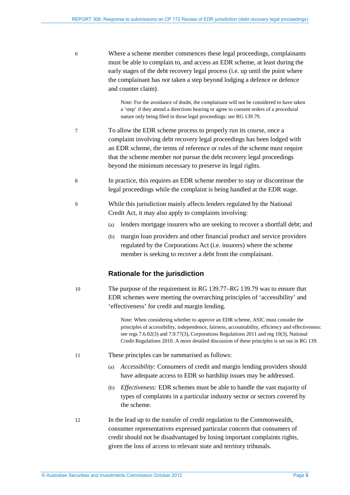| 6  | Where a scheme member commences these legal proceedings, complainants<br>must be able to complain to, and access an EDR scheme, at least during the<br>early stages of the debt recovery legal process (i.e. up until the point where<br>the complainant has <i>not</i> taken a step beyond lodging a defence or defence<br>and counter claim).                                   |
|----|-----------------------------------------------------------------------------------------------------------------------------------------------------------------------------------------------------------------------------------------------------------------------------------------------------------------------------------------------------------------------------------|
|    | Note: For the avoidance of doubt, the complainant will not be considered to have taken<br>a 'step' if they attend a directions hearing or agree to consent orders of a procedural<br>nature only being filed in those legal proceedings: see RG 139.79.                                                                                                                           |
| 7  | To allow the EDR scheme process to properly run its course, once a<br>complaint involving debt recovery legal proceedings has been lodged with<br>an EDR scheme, the terms of reference or rules of the scheme must require<br>that the scheme member <i>not</i> pursue the debt recovery legal proceedings<br>beyond the minimum necessary to preserve its legal rights.         |
| 8  | In practice, this requires an EDR scheme member to stay or discontinue the<br>legal proceedings while the complaint is being handled at the EDR stage.                                                                                                                                                                                                                            |
| 9  | While this jurisdiction mainly affects lenders regulated by the National<br>Credit Act, it may also apply to complaints involving:                                                                                                                                                                                                                                                |
|    | lenders mortgage insurers who are seeking to recover a shortfall debt; and<br>(a)                                                                                                                                                                                                                                                                                                 |
|    | margin loan providers and other financial product and service providers<br>(b)<br>regulated by the Corporations Act (i.e. insurers) where the scheme<br>member is seeking to recover a debt from the complainant.                                                                                                                                                                 |
|    | <b>Rationale for the jurisdiction</b>                                                                                                                                                                                                                                                                                                                                             |
| 10 | The purpose of the requirement in RG 139.77–RG 139.79 was to ensure that<br>EDR schemes were meeting the overarching principles of 'accessibility' and<br>'effectiveness' for credit and margin lending.                                                                                                                                                                          |
|    | Note: When considering whether to approve an EDR scheme, ASIC must consider the<br>principles of accessibility, independence, fairness, accountability, efficiency and effectiveness:<br>see regs 7.6.02(3) and 7.9.77(3), Corporations Regulations 2011 and reg 10(3), National<br>Credit Regulations 2010. A more detailed discussion of these principles is set out in RG 139. |
| 11 | These principles can be summarised as follows:                                                                                                                                                                                                                                                                                                                                    |
|    | Accessibility: Consumers of credit and margin lending providers should<br>(a)<br>have adequate access to EDR so hardship issues may be addressed.                                                                                                                                                                                                                                 |
|    | Effectiveness: EDR schemes must be able to handle the vast majority of<br>(b)                                                                                                                                                                                                                                                                                                     |

- types of complaints in a particular industry sector or sectors covered by the scheme.
- 12 In the lead up to the transfer of credit regulation to the Commonwealth, consumer representatives expressed particular concern that consumers of credit should not be disadvantaged by losing important complaints rights, given the loss of access to relevant state and territory tribunals.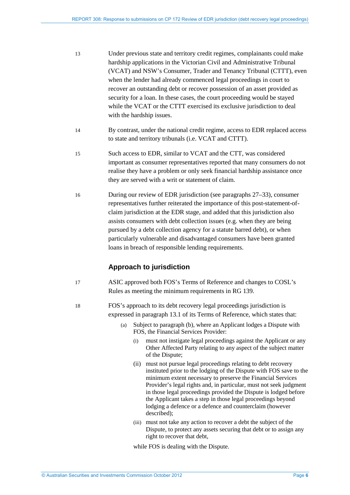- 13 Under previous state and territory credit regimes, complainants could make hardship applications in the Victorian Civil and Administrative Tribunal (VCAT) and NSW's Consumer, Trader and Tenancy Tribunal (CTTT), even when the lender had already commenced legal proceedings in court to recover an outstanding debt or recover possession of an asset provided as security for a loan. In these cases, the court proceeding would be stayed while the VCAT or the CTTT exercised its exclusive jurisdiction to deal with the hardship issues.
- 14 By contrast, under the national credit regime, access to EDR replaced access to state and territory tribunals (i.e. VCAT and CTTT).
- 15 Such access to EDR, similar to VCAT and the CTT, was considered important as consumer representatives reported that many consumers do not realise they have a problem or only seek financial hardship assistance once they are served with a writ or statement of claim.
- 16 During our review of EDR jurisdiction (see paragraphs [27–](#page-8-1)[33\)](#page-9-1), consumer representatives further reiterated the importance of this post-statement-ofclaim jurisdiction at the EDR stage, and added that this jurisdiction also assists consumers with debt collection issues (e.g. when they are being pursued by a debt collection agency for a statute barred debt), or when particularly vulnerable and disadvantaged consumers have been granted loans in breach of responsible lending requirements.

### **Approach to jurisdiction**

- 17 ASIC approved both FOS's Terms of Reference and changes to COSL's Rules as meeting the minimum requirements in RG 139.
- 18 FOS's approach to its debt recovery legal proceedings jurisdiction is expressed in paragraph 13.1 of its Terms of Reference, which states that:
	- (a) Subject to paragraph (b), where an Applicant lodges a Dispute with FOS, the Financial Services Provider:
		- (i) must not instigate legal proceedings against the Applicant or any Other Affected Party relating to any aspect of the subject matter of the Dispute;
		- (ii) must not pursue legal proceedings relating to debt recovery instituted prior to the lodging of the Dispute with FOS save to the minimum extent necessary to preserve the Financial Services Provider's legal rights and, in particular, must not seek judgment in those legal proceedings provided the Dispute is lodged before the Applicant takes a step in those legal proceedings beyond lodging a defence or a defence and counterclaim (however described);
		- (iii) must not take any action to recover a debt the subject of the Dispute, to protect any assets securing that debt or to assign any right to recover that debt,

while FOS is dealing with the Dispute.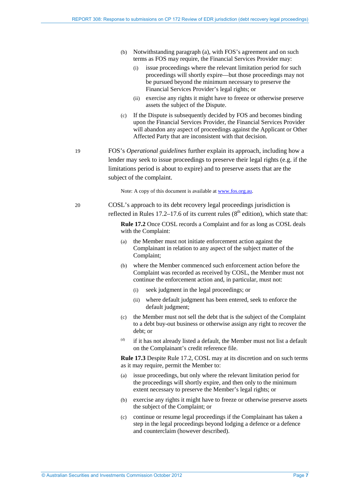- (b) Notwithstanding paragraph (a), with FOS's agreement and on such terms as FOS may require, the Financial Services Provider may:
	- (i) issue proceedings where the relevant limitation period for such proceedings will shortly expire—but those proceedings may not be pursued beyond the minimum necessary to preserve the Financial Services Provider's legal rights; or
	- (ii) exercise any rights it might have to freeze or otherwise preserve assets the subject of the Dispute.
- (c) If the Dispute is subsequently decided by FOS and becomes binding upon the Financial Services Provider, the Financial Services Provider will abandon any aspect of proceedings against the Applicant or Other Affected Party that are inconsistent with that decision.
- 19 FOS's *Operational guidelines* further explain its approach, including how a lender may seek to issue proceedings to preserve their legal rights (e.g. if the limitations period is about to expire) and to preserve assets that are the subject of the complaint.

Note: A copy of this document is available at [www.fos.org.au.](http://www.fos.org.au/) 

20 COSL's approach to its debt recovery legal proceedings jurisdiction is reflected in Rules 17.2–17.6 of its current rules  $(8<sup>th</sup>$  edition), which state that:

> **Rule 17.2** Once COSL records a Complaint and for as long as COSL deals with the Complaint:

- (a) the Member must not initiate enforcement action against the Complainant in relation to any aspect of the subject matter of the Complaint;
- (b) where the Member commenced such enforcement action before the Complaint was recorded as received by COSL, the Member must not continue the enforcement action and, in particular, must not:
	- seek judgment in the legal proceedings; or
	- (ii) where default judgment has been entered, seek to enforce the default judgment:
- (c) the Member must not sell the debt that is the subject of the Complaint to a debt buy-out business or otherwise assign any right to recover the debt; or
- $(d)$  if it has not already listed a default, the Member must not list a default on the Complainant's credit reference file.

**Rule 17.3** Despite Rule 17.2, COSL may at its discretion and on such terms as it may require, permit the Member to:

- (a) issue proceedings, but only where the relevant limitation period for the proceedings will shortly expire, and then only to the minimum extent necessary to preserve the Member's legal rights; or
- (b) exercise any rights it might have to freeze or otherwise preserve assets the subject of the Complaint; or
- (c) continue or resume legal proceedings if the Complainant has taken a step in the legal proceedings beyond lodging a defence or a defence and counterclaim (however described).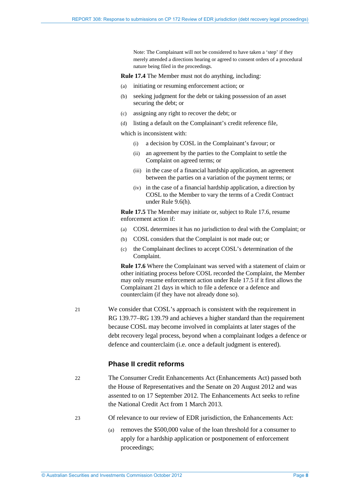Note: The Complainant will not be considered to have taken a 'step' if they merely attended a directions hearing or agreed to consent orders of a procedural nature being filed in the proceedings.

**Rule 17.4** The Member must not do anything, including:

- (a) initiating or resuming enforcement action; or
- (b) seeking judgment for the debt or taking possession of an asset securing the debt; or
- (c) assigning any right to recover the debt; or
- (d) listing a default on the Complainant's credit reference file,

which is inconsistent with:

- (i) a decision by COSL in the Complainant's favour; or
- (ii) an agreement by the parties to the Complaint to settle the Complaint on agreed terms; or
- (iii) in the case of a financial hardship application, an agreement between the parties on a variation of the payment terms; or
- (iv) in the case of a financial hardship application, a direction by COSL to the Member to vary the terms of a Credit Contract under Rule 9.6(h).

**Rule 17.5** The Member may initiate or, subject to Rule 17.6, resume enforcement action if:

- (a) COSL determines it has no jurisdiction to deal with the Complaint; or
- (b) COSL considers that the Complaint is not made out; or
- (c) the Complainant declines to accept COSL's determination of the Complaint.

**Rule 17.6** Where the Complainant was served with a statement of claim or other initiating process before COSL recorded the Complaint, the Member may only resume enforcement action under Rule 17.5 if it first allows the Complainant 21 days in which to file a defence or a defence and counterclaim (if they have not already done so).

21 We consider that COSL's approach is consistent with the requirement in RG 139.77–RG 139.79 and achieves a higher standard than the requirement because COSL may become involved in complaints at later stages of the debt recovery legal process, beyond when a complainant lodges a defence or defence and counterclaim (i.e. once a default judgment is entered).

#### **Phase II credit reforms**

- 22 The Consumer Credit Enhancements Act (Enhancements Act) passed both the House of Representatives and the Senate on 20 August 2012 and was assented to on 17 September 2012. The Enhancements Act seeks to refine the National Credit Act from 1 March 2013.
- 23 Of relevance to our review of EDR jurisdiction, the Enhancements Act:
	- (a) removes the \$500,000 value of the loan threshold for a consumer to apply for a hardship application or postponement of enforcement proceedings;

© Australian Securities and Investments Commission October 2012 Page **8**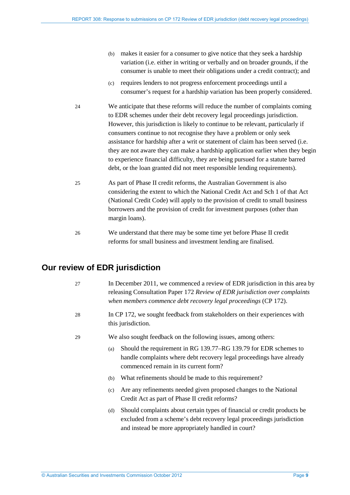- (b) makes it easier for a consumer to give notice that they seek a hardship variation (i.e. either in writing or verbally and on broader grounds, if the consumer is unable to meet their obligations under a credit contract); and
- (c) requires lenders to not progress enforcement proceedings until a consumer's request for a hardship variation has been properly considered.
- 24 We anticipate that these reforms will reduce the number of complaints coming to EDR schemes under their debt recovery legal proceedings jurisdiction. However, this jurisdiction is likely to continue to be relevant, particularly if consumers continue to not recognise they have a problem or only seek assistance for hardship after a writ or statement of claim has been served (i.e. they are not aware they can make a hardship application earlier when they begin to experience financial difficulty, they are being pursued for a statute barred debt, or the loan granted did not meet responsible lending requirements).
- 25 As part of Phase II credit reforms, the Australian Government is also considering the extent to which the National Credit Act and Sch 1 of that Act (National Credit Code) will apply to the provision of credit to small business borrowers and the provision of credit for investment purposes (other than margin loans).
- 26 We understand that there may be some time yet before Phase II credit reforms for small business and investment lending are finalised.

### <span id="page-8-1"></span><span id="page-8-0"></span>**Our review of EDR jurisdiction**

| 27 | In December 2011, we commenced a review of EDR jurisdiction in this area by<br>releasing Consultation Paper 172 Review of EDR jurisdiction over complaints<br>when members commence debt recovery legal proceedings (CP 172). |  |
|----|-------------------------------------------------------------------------------------------------------------------------------------------------------------------------------------------------------------------------------|--|
| 28 | In CP 172, we sought feedback from stakeholders on their experiences with<br>this jurisdiction.                                                                                                                               |  |
| 29 | We also sought feedback on the following issues, among others:                                                                                                                                                                |  |
|    | Should the requirement in RG 139.77–RG 139.79 for EDR schemes to<br>(a)<br>handle complaints where debt recovery legal proceedings have already<br>commenced remain in its current form?                                      |  |
|    | What refinements should be made to this requirement?<br>(b)                                                                                                                                                                   |  |
|    | Are any refinements needed given proposed changes to the National<br>(c)<br>Credit Act as part of Phase II credit reforms?                                                                                                    |  |
|    | Should complaints about certain types of financial or credit products be<br>(d)<br>excluded from a scheme's debt recovery legal proceedings jurisdiction<br>and instead be more appropriately handled in court?               |  |
|    |                                                                                                                                                                                                                               |  |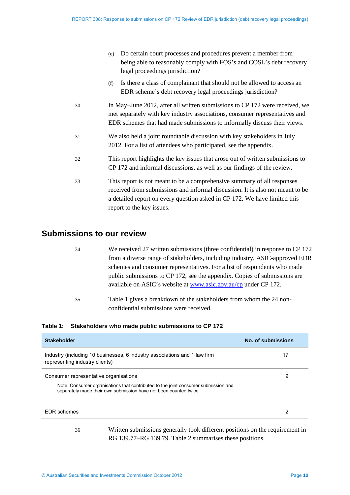|    | Do certain court processes and procedures prevent a member from<br>(e)<br>being able to reasonably comply with FOS's and COSL's debt recovery<br>legal proceedings jurisdiction?                                                                                   |  |
|----|--------------------------------------------------------------------------------------------------------------------------------------------------------------------------------------------------------------------------------------------------------------------|--|
|    | Is there a class of complainant that should not be allowed to access an<br>(f)<br>EDR scheme's debt recovery legal proceedings jurisdiction?                                                                                                                       |  |
| 30 | In May–June 2012, after all written submissions to CP 172 were received, we<br>met separately with key industry associations, consumer representatives and<br>EDR schemes that had made submissions to informally discuss their views.                             |  |
| 31 | We also held a joint roundtable discussion with key stakeholders in July<br>2012. For a list of attendees who participated, see the appendix.                                                                                                                      |  |
| 32 | This report highlights the key issues that arose out of written submissions to<br>CP 172 and informal discussions, as well as our findings of the review.                                                                                                          |  |
| 33 | This report is not meant to be a comprehensive summary of all responses<br>received from submissions and informal discussion. It is also not meant to be<br>a detailed report on every question asked in CP 172. We have limited this<br>report to the key issues. |  |

#### <span id="page-9-1"></span><span id="page-9-0"></span>**Submissions to our review**

- 34 We received 27 written submissions (three confidential) in response to CP 172 from a diverse range of stakeholders, including industry, ASIC-approved EDR schemes and consumer representatives. For a list of respondents who made public submissions to CP 172, see the appendix. Copies of submissions are available on ASIC's website at [www.asic.gov.au/cp](http://www.asic.gov.au/cp) under CP 172.
- 35 Table 1 gives a breakdown of the stakeholders from whom the 24 nonconfidential submissions were received.

**Table 1: Stakeholders who made public submissions to CP 172**

| <b>Stakeholder</b>                                                                                                                                                                               | No. of submissions |
|--------------------------------------------------------------------------------------------------------------------------------------------------------------------------------------------------|--------------------|
| Industry (including 10 businesses, 6 industry associations and 1 law firm<br>representing industry clients)                                                                                      | 17                 |
| Consumer representative organisations<br>Note: Consumer organisations that contributed to the joint consumer submission and<br>separately made their own submission have not been counted twice. | 9                  |
| <b>EDR</b> schemes                                                                                                                                                                               | 2                  |

36 Written submissions generally took different positions on the requirement in RG 139.77–RG 139.79. Table 2 summarises these positions.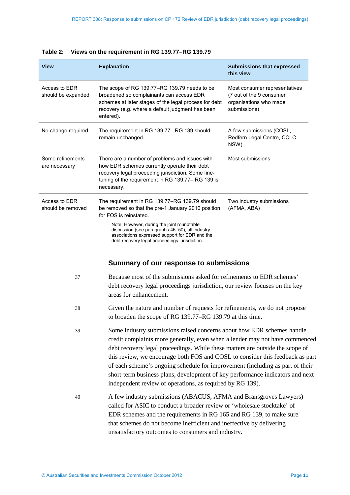| <b>View</b>                         | <b>Explanation</b>                                                                                                                                                                                                     | <b>Submissions that expressed</b><br>this view                                                      |
|-------------------------------------|------------------------------------------------------------------------------------------------------------------------------------------------------------------------------------------------------------------------|-----------------------------------------------------------------------------------------------------|
| Access to EDR<br>should be expanded | The scope of RG 139.77–RG 139.79 needs to be<br>broadened so complainants can access EDR<br>schemes at later stages of the legal process for debt<br>recovery (e.g. where a default judgment has been<br>entered).     | Most consumer representatives<br>(7 out of the 9 consumer<br>organisations who made<br>submissions) |
| No change required                  | The requirement in RG 139.77– RG 139 should<br>remain unchanged.                                                                                                                                                       | A few submissions (COSL,<br>Redfern Legal Centre, CCLC<br>NSW)                                      |
| Some refinements<br>are necessary   | There are a number of problems and issues with<br>how EDR schemes currently operate their debt<br>recovery legal proceeding jurisdiction. Some fine-<br>tuning of the requirement in RG 139.77-RG 139 is<br>necessary. | Most submissions                                                                                    |
| Access to EDR<br>should be removed  | The requirement in RG 139.77–RG 139.79 should<br>be removed so that the pre-1 January 2010 position<br>for FOS is reinstated.                                                                                          | Two industry submissions<br>(AFMA, ABA)                                                             |
|                                     | Note: However, during the joint roundtable<br>discussion (see paragraphs 46-50), all industry<br>associations expressed support for EDR and the<br>debt recovery legal proceedings jurisdiction.                       |                                                                                                     |

#### **Table 2: Views on the requirement in RG 139.77–RG 139.79**

### **Summary of our response to submissions**

<span id="page-10-0"></span>

| 37 | Because most of the submissions asked for refinements to EDR schemes'<br>debt recovery legal proceedings jurisdiction, our review focuses on the key<br>areas for enhancement.                                                                                                                                                                                                                                                                                                                                                                         |
|----|--------------------------------------------------------------------------------------------------------------------------------------------------------------------------------------------------------------------------------------------------------------------------------------------------------------------------------------------------------------------------------------------------------------------------------------------------------------------------------------------------------------------------------------------------------|
| 38 | Given the nature and number of requests for refinements, we do not propose<br>to broaden the scope of RG 139.77–RG 139.79 at this time.                                                                                                                                                                                                                                                                                                                                                                                                                |
| 39 | Some industry submissions raised concerns about how EDR schemes handle<br>credit complaints more generally, even when a lender may not have commenced<br>debt recovery legal proceedings. While these matters are outside the scope of<br>this review, we encourage both FOS and COSL to consider this feedback as part<br>of each scheme's ongoing schedule for improvement (including as part of their<br>short-term business plans, development of key performance indicators and next<br>independent review of operations, as required by RG 139). |
| 40 | A few industry submissions (ABACUS, AFMA and Bransgroves Lawyers)<br>called for ASIC to conduct a broader review or 'wholesale stocktake' of<br>EDR schemes and the requirements in RG 165 and RG 139, to make sure<br>that schemes do not become inefficient and ineffective by delivering<br>unsatisfactory outcomes to consumers and industry.                                                                                                                                                                                                      |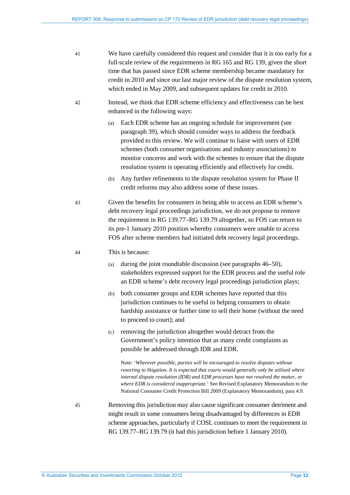- 41 We have carefully considered this request and consider that it is too early for a full-scale review of the requirements in RG 165 and RG 139, given the short time that has passed since EDR scheme membership became mandatory for credit in 2010 and since our last major review of the dispute resolution system, which ended in May 2009, and subsequent updates for credit in 2010.
- 42 Instead, we think that EDR scheme efficiency and effectiveness can be best enhanced in the following ways:
	- (a) Each EDR scheme has an ongoing schedule for improvement (see paragraph [39\)](#page-10-0), which should consider ways to address the feedback provided to this review. We will continue to liaise with users of EDR schemes (both consumer organisations and industry associations) to monitor concerns and work with the schemes to ensure that the dispute resolution system is operating efficiently and effectively for credit.
	- (b) Any further refinements to the dispute resolution system for Phase II credit reforms may also address some of these issues.
- 43 Given the benefits for consumers in being able to access an EDR scheme's debt recovery legal proceedings jurisdiction, we do not propose to remove the requirement in RG 139.77–RG 139.79 altogether, so FOS can return to its pre-1 January 2010 position whereby consumers were unable to access FOS after scheme members had initiated debt recovery legal proceedings.

#### 44 This is because:

- (a) during the joint roundtable discussion (see paragraphs [46](#page-12-1)[–50\)](#page-12-2), stakeholders expressed support for the EDR process and the useful role an EDR scheme's debt recovery legal proceedings jurisdiction plays;
- (b) both consumer groups and EDR schemes have reported that this jurisdiction continues to be useful in helping consumers to obtain hardship assistance or further time to sell their home (without the need to proceed to court); and
- (c) removing the jurisdiction altogether would detract from the Government's policy intention that as many credit complaints as possible be addressed through IDR and EDR.

Note: '*Wherever possible, parties will be encouraged to resolve disputes without resorting to litigation. It is expected that courts would generally only be utilised where internal dispute resolution (IDR) and EDR processes have not resolved the matter, or where EDR is considered inappropriate.*' See Revised Explanatory Memorandum to the National Consumer Credit Protection Bill 2009 (Explanatory Memorandum), para 4.9.

45 Removing this jurisdiction may also cause significant consumer detriment and might result in some consumers being disadvantaged by differences in EDR scheme approaches, particularly if COSL continues to meet the requirement in RG 139.77–RG 139.79 (it had this jurisdiction before 1 January 2010).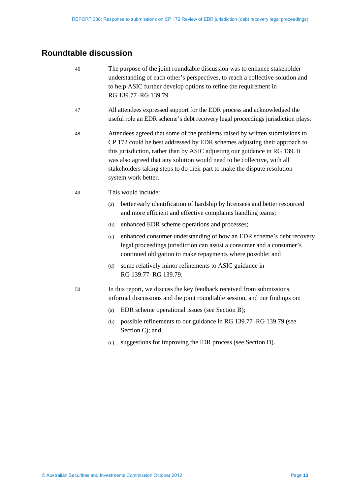### <span id="page-12-1"></span><span id="page-12-0"></span>**Roundtable discussion**

- 46 The purpose of the joint roundtable discussion was to enhance stakeholder understanding of each other's perspectives, to reach a collective solution and to help ASIC further develop options to refine the requirement in RG 139.77–RG 139.79. 47 All attendees expressed support for the EDR process and acknowledged the useful role an EDR scheme's debt recovery legal proceedings jurisdiction plays. 48 Attendees agreed that some of the problems raised by written submissions to CP 172 could be best addressed by EDR schemes adjusting their approach to this jurisdiction, rather than by ASIC adjusting our guidance in RG 139. It was also agreed that any solution would need to be collective, with all stakeholders taking steps to do their part to make the dispute resolution system work better. 49 This would include: (a) better early identification of hardship by licensees and better resourced and more efficient and effective complaints handling teams; (b) enhanced EDR scheme operations and processes; (c) enhanced consumer understanding of how an EDR scheme's debt recovery legal proceedings jurisdiction can assist a consumer and a consumer's continued obligation to make repayments where possible; and
	- (d) some relatively minor refinements to ASIC guidance in RG 139.77–RG 139.79.
- <span id="page-12-2"></span>50 In this report, we discuss the key feedback received from submissions, informal discussions and the joint roundtable session, and our findings on:
	- (a) EDR scheme operational issues (see Section B);
	- (b) possible refinements to our guidance in RG 139.77–RG 139.79 (see Section C); and
	- (c) suggestions for improving the IDR process (see Section D).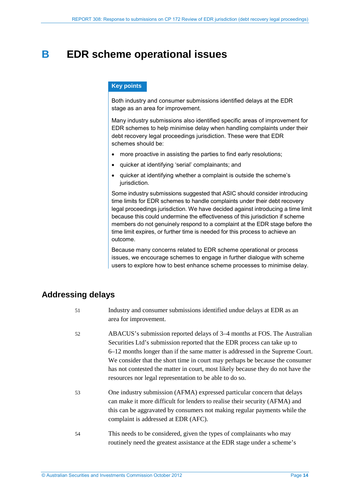## <span id="page-13-0"></span>**B EDR scheme operational issues**

#### **Key points**

Both industry and consumer submissions identified delays at the EDR stage as an area for improvement.

Many industry submissions also identified specific areas of improvement for EDR schemes to help minimise delay when handling complaints under their debt recovery legal proceedings jurisdiction. These were that EDR schemes should be:

- more proactive in assisting the parties to find early resolutions;
- quicker at identifying 'serial' complainants; and
- quicker at identifying whether a complaint is outside the scheme's jurisdiction.

Some industry submissions suggested that ASIC should consider introducing time limits for EDR schemes to handle complaints under their debt recovery legal proceedings jurisdiction. We have decided against introducing a time limit because this could undermine the effectiveness of this jurisdiction if scheme members do not genuinely respond to a complaint at the EDR stage before the time limit expires, or further time is needed for this process to achieve an outcome.

Because many concerns related to EDR scheme operational or process issues, we encourage schemes to engage in further dialogue with scheme users to explore how to best enhance scheme processes to minimise delay.

### <span id="page-13-1"></span>**Addressing delays**

- 51 Industry and consumer submissions identified undue delays at EDR as an area for improvement.
- 52 ABACUS's submission reported delays of 3–4 months at FOS. The Australian Securities Ltd's submission reported that the EDR process can take up to 6–12 months longer than if the same matter is addressed in the Supreme Court. We consider that the short time in court may perhaps be because the consumer has not contested the matter in court, most likely because they do not have the resources nor legal representation to be able to do so.
- 53 One industry submission (AFMA) expressed particular concern that delays can make it more difficult for lenders to realise their security (AFMA) and this can be aggravated by consumers not making regular payments while the complaint is addressed at EDR (AFC).
- 54 This needs to be considered, given the types of complainants who may routinely need the greatest assistance at the EDR stage under a scheme's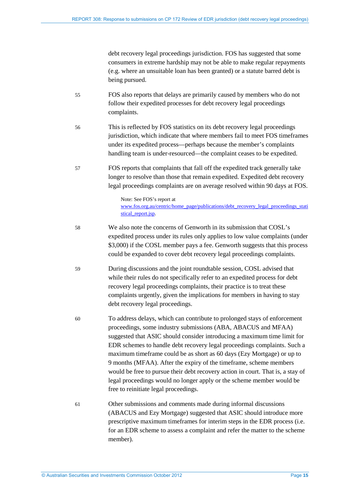debt recovery legal proceedings jurisdiction. FOS has suggested that some consumers in extreme hardship may not be able to make regular repayments (e.g. where an unsuitable loan has been granted) or a statute barred debt is being pursued.

- 55 FOS also reports that delays are primarily caused by members who do not follow their expedited processes for debt recovery legal proceedings complaints.
- 56 This is reflected by FOS statistics on its debt recovery legal proceedings jurisdiction, which indicate that where members fail to meet FOS timeframes under its expedited process—perhaps because the member's complaints handling team is under-resourced—the complaint ceases to be expedited.
- 57 FOS reports that complaints that fall off the expedited track generally take longer to resolve than those that remain expedited. Expedited debt recovery legal proceedings complaints are on average resolved within 90 days at FOS.

Note: See FOS's report at [www.fos.org.au/centric/home\\_page/publications/debt\\_recovery\\_legal\\_proceedings\\_stati](http://www.fos.org.au/centric/home_page/publications/debt_recovery_legal_proceedings_statistical_report.jsp) stical report.jsp.

- 58 We also note the concerns of Genworth in its submission that COSL's expedited process under its rules only applies to low value complaints (under \$3,000) if the COSL member pays a fee. Genworth suggests that this process could be expanded to cover debt recovery legal proceedings complaints.
- 59 During discussions and the joint roundtable session, COSL advised that while their rules do not specifically refer to an expedited process for debt recovery legal proceedings complaints, their practice is to treat these complaints urgently, given the implications for members in having to stay debt recovery legal proceedings.
- 60 To address delays, which can contribute to prolonged stays of enforcement proceedings, some industry submissions (ABA, ABACUS and MFAA) suggested that ASIC should consider introducing a maximum time limit for EDR schemes to handle debt recovery legal proceedings complaints. Such a maximum timeframe could be as short as 60 days (Ezy Mortgage) or up to 9 months (MFAA). After the expiry of the timeframe, scheme members would be free to pursue their debt recovery action in court. That is, a stay of legal proceedings would no longer apply or the scheme member would be free to reinitiate legal proceedings.
- 61 Other submissions and comments made during informal discussions (ABACUS and Ezy Mortgage) suggested that ASIC should introduce more prescriptive maximum timeframes for interim steps in the EDR process (i.e. for an EDR scheme to assess a complaint and refer the matter to the scheme member).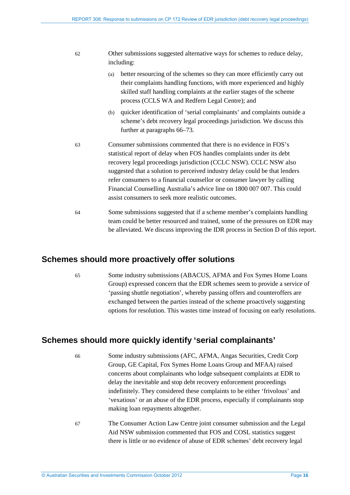| -62 | Other submissions suggested alternative ways for schemes to reduce delay, |
|-----|---------------------------------------------------------------------------|
|     | including:                                                                |

- (a) better resourcing of the schemes so they can more efficiently carry out their complaints handling functions, with more experienced and highly skilled staff handling complaints at the earlier stages of the scheme process (CCLS WA and Redfern Legal Centre); and
- (b) quicker identification of 'serial complainants' and complaints outside a scheme's debt recovery legal proceedings jurisdiction. We discuss this further at paragraphs [66](#page-15-2)[–73.](#page-16-1)
- 63 Consumer submissions commented that there is no evidence in FOS's statistical report of delay when FOS handles complaints under its debt recovery legal proceedings jurisdiction (CCLC NSW). CCLC NSW also suggested that a solution to perceived industry delay could be that lenders refer consumers to a financial counsellor or consumer lawyer by calling Financial Counselling Australia's advice line on 1800 007 007. This could assist consumers to seek more realistic outcomes.
- 64 Some submissions suggested that if a scheme member's complaints handling team could be better resourced and trained, some of the pressures on EDR may be alleviated. We discuss improving the IDR process in Section D of this report.

#### <span id="page-15-0"></span>**Schemes should more proactively offer solutions**

65 Some industry submissions (ABACUS, AFMA and Fox Symes Home Loans Group) expressed concern that the EDR schemes seem to provide a service of 'passing shuttle negotiation', whereby passing offers and counteroffers are exchanged between the parties instead of the scheme proactively suggesting options for resolution. This wastes time instead of focusing on early resolutions.

### <span id="page-15-2"></span><span id="page-15-1"></span>**Schemes should more quickly identify 'serial complainants'**

66 Some industry submissions (AFC, AFMA, Angas Securities, Credit Corp Group, GE Capital, Fox Symes Home Loans Group and MFAA) raised concerns about complainants who lodge subsequent complaints at EDR to delay the inevitable and stop debt recovery enforcement proceedings indefinitely. They considered these complaints to be either 'frivolous' and 'vexatious' or an abuse of the EDR process, especially if complainants stop making loan repayments altogether.

67 The Consumer Action Law Centre joint consumer submission and the Legal Aid NSW submission commented that FOS and COSL statistics suggest there is little or no evidence of abuse of EDR schemes' debt recovery legal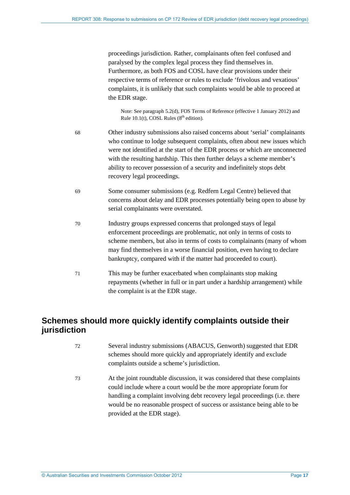proceedings jurisdiction. Rather, complainants often feel confused and paralysed by the complex legal process they find themselves in. Furthermore, as both FOS and COSL have clear provisions under their respective terms of reference or rules to exclude 'frivolous and vexatious' complaints, it is unlikely that such complaints would be able to proceed at the EDR stage.

Note: See paragraph 5.2(d), FOS Terms of Reference (effective 1 January 2012) and Rule  $10.1(t)$ , COSL Rules ( $8<sup>th</sup>$  edition).

- 68 Other industry submissions also raised concerns about 'serial' complainants who continue to lodge subsequent complaints, often about new issues which were not identified at the start of the EDR process or which are unconnected with the resulting hardship. This then further delays a scheme member's ability to recover possession of a security and indefinitely stops debt recovery legal proceedings.
- 69 Some consumer submissions (e.g. Redfern Legal Centre) believed that concerns about delay and EDR processes potentially being open to abuse by serial complainants were overstated.
- 70 Industry groups expressed concerns that prolonged stays of legal enforcement proceedings are problematic, not only in terms of costs to scheme members, but also in terms of costs to complainants (many of whom may find themselves in a worse financial position, even having to declare bankruptcy, compared with if the matter had proceeded to court).
- 71 This may be further exacerbated when complainants stop making repayments (whether in full or in part under a hardship arrangement) while the complaint is at the EDR stage.

### <span id="page-16-0"></span>**Schemes should more quickly identify complaints outside their jurisdiction**

- 72 Several industry submissions (ABACUS, Genworth) suggested that EDR schemes should more quickly and appropriately identify and exclude complaints outside a scheme's jurisdiction.
- <span id="page-16-1"></span>73 At the joint roundtable discussion, it was considered that these complaints could include where a court would be the more appropriate forum for handling a complaint involving debt recovery legal proceedings (i.e. there would be no reasonable prospect of success or assistance being able to be provided at the EDR stage).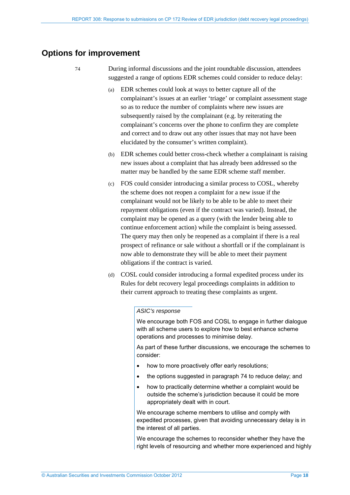### <span id="page-17-1"></span><span id="page-17-0"></span>**Options for improvement**

74 During informal discussions and the joint roundtable discussion, attendees suggested a range of options EDR schemes could consider to reduce delay:

- (a) EDR schemes could look at ways to better capture all of the complainant's issues at an earlier 'triage' or complaint assessment stage so as to reduce the number of complaints where new issues are subsequently raised by the complainant (e.g. by reiterating the complainant's concerns over the phone to confirm they are complete and correct and to draw out any other issues that may not have been elucidated by the consumer's written complaint).
- (b) EDR schemes could better cross-check whether a complainant is raising new issues about a complaint that has already been addressed so the matter may be handled by the same EDR scheme staff member.
- (c) FOS could consider introducing a similar process to COSL, whereby the scheme does not reopen a complaint for a new issue if the complainant would not be likely to be able to be able to meet their repayment obligations (even if the contract was varied). Instead, the complaint may be opened as a query (with the lender being able to continue enforcement action) while the complaint is being assessed. The query may then only be reopened as a complaint if there is a real prospect of refinance or sale without a shortfall or if the complainant is now able to demonstrate they will be able to meet their payment obligations if the contract is varied.
- (d) COSL could consider introducing a formal expedited process under its Rules for debt recovery legal proceedings complaints in addition to their current approach to treating these complaints as urgent.

#### *ASIC's response*

We encourage both FOS and COSL to engage in further dialogue with all scheme users to explore how to best enhance scheme operations and processes to minimise delay.

As part of these further discussions, we encourage the schemes to consider:

- how to more proactively offer early resolutions;
- the options suggested in paragraph [74](#page-17-1) to reduce delay; and
- how to practically determine whether a complaint would be outside the scheme's jurisdiction because it could be more appropriately dealt with in court.

We encourage scheme members to utilise and comply with expedited processes, given that avoiding unnecessary delay is in the interest of all parties.

We encourage the schemes to reconsider whether they have the right levels of resourcing and whether more experienced and highly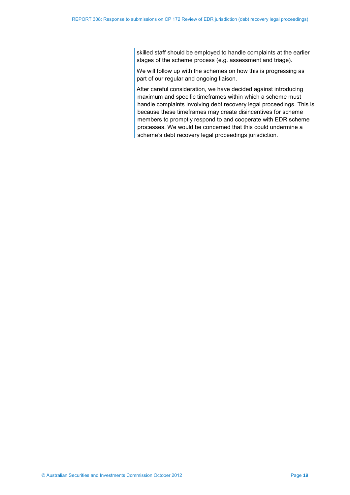skilled staff should be employed to handle complaints at the earlier stages of the scheme process (e.g. assessment and triage).

We will follow up with the schemes on how this is progressing as part of our regular and ongoing liaison.

After careful consideration, we have decided against introducing maximum and specific timeframes within which a scheme must handle complaints involving debt recovery legal proceedings. This is because these timeframes may create disincentives for scheme members to promptly respond to and cooperate with EDR scheme processes. We would be concerned that this could undermine a scheme's debt recovery legal proceedings jurisdiction.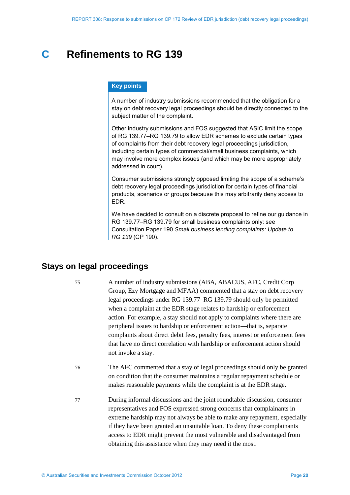## <span id="page-19-0"></span>**C Refinements to RG 139**

#### **Key points**

A number of industry submissions recommended that the obligation for a stay on debt recovery legal proceedings should be directly connected to the subject matter of the complaint.

Other industry submissions and FOS suggested that ASIC limit the scope of RG 139.77–RG 139.79 to allow EDR schemes to exclude certain types of complaints from their debt recovery legal proceedings jurisdiction, including certain types of commercial/small business complaints, which may involve more complex issues (and which may be more appropriately addressed in court).

Consumer submissions strongly opposed limiting the scope of a scheme's debt recovery legal proceedings jurisdiction for certain types of financial products, scenarios or groups because this may arbitrarily deny access to EDR.

We have decided to consult on a discrete proposal to refine our guidance in RG 139.77–RG 139.79 for small business complaints only: see Consultation Paper 190 *Small business lending complaints: Update to RG 139* (CP 190).

### <span id="page-19-1"></span>**Stays on legal proceedings**

75 A number of industry submissions (ABA, ABACUS, AFC, Credit Corp Group, Ezy Mortgage and MFAA) commented that a stay on debt recovery legal proceedings under RG 139.77–RG 139.79 should only be permitted when a complaint at the EDR stage relates to hardship or enforcement action. For example, a stay should not apply to complaints where there are peripheral issues to hardship or enforcement action—that is, separate complaints about direct debit fees, penalty fees, interest or enforcement fees that have no direct correlation with hardship or enforcement action should not invoke a stay.

- 76 The AFC commented that a stay of legal proceedings should only be granted on condition that the consumer maintains a regular repayment schedule or makes reasonable payments while the complaint is at the EDR stage.
- 77 During informal discussions and the joint roundtable discussion, consumer representatives and FOS expressed strong concerns that complainants in extreme hardship may not always be able to make any repayment, especially if they have been granted an unsuitable loan. To deny these complainants access to EDR might prevent the most vulnerable and disadvantaged from obtaining this assistance when they may need it the most.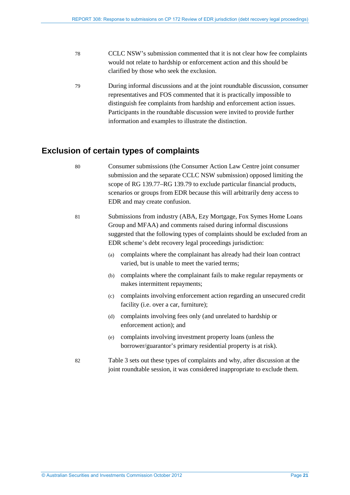- 78 CCLC NSW's submission commented that it is not clear how fee complaints would not relate to hardship or enforcement action and this should be clarified by those who seek the exclusion.
- 79 During informal discussions and at the joint roundtable discussion, consumer representatives and FOS commented that it is practically impossible to distinguish fee complaints from hardship and enforcement action issues. Participants in the roundtable discussion were invited to provide further information and examples to illustrate the distinction.

### <span id="page-20-0"></span>**Exclusion of certain types of complaints**

- 80 Consumer submissions (the Consumer Action Law Centre joint consumer submission and the separate CCLC NSW submission) opposed limiting the scope of RG 139.77–RG 139.79 to exclude particular financial products, scenarios or groups from EDR because this will arbitrarily deny access to EDR and may create confusion.
	- 81 Submissions from industry (ABA, Ezy Mortgage, Fox Symes Home Loans Group and MFAA) and comments raised during informal discussions suggested that the following types of complaints should be excluded from an EDR scheme's debt recovery legal proceedings jurisdiction:
		- (a) complaints where the complainant has already had their loan contract varied, but is unable to meet the varied terms;
		- (b) complaints where the complainant fails to make regular repayments or makes intermittent repayments;
		- (c) complaints involving enforcement action regarding an unsecured credit facility (i.e. over a car, furniture);
		- (d) complaints involving fees only (and unrelated to hardship or enforcement action); and
		- (e) complaints involving investment property loans (unless the borrower/guarantor's primary residential property is at risk).
	- 82 Table 3 sets out these types of complaints and why, after discussion at the joint roundtable session, it was considered inappropriate to exclude them.
	-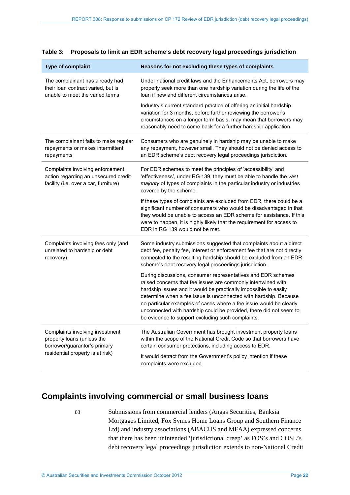| Type of complaint                                                                                                 | Reasons for not excluding these types of complaints                                                                                                                                                                                                                                                                                                                                                                                                                    |
|-------------------------------------------------------------------------------------------------------------------|------------------------------------------------------------------------------------------------------------------------------------------------------------------------------------------------------------------------------------------------------------------------------------------------------------------------------------------------------------------------------------------------------------------------------------------------------------------------|
| The complainant has already had<br>their loan contract varied, but is<br>unable to meet the varied terms          | Under national credit laws and the Enhancements Act, borrowers may<br>properly seek more than one hardship variation during the life of the<br>loan if new and different circumstances arise.                                                                                                                                                                                                                                                                          |
|                                                                                                                   | Industry's current standard practice of offering an initial hardship<br>variation for 3 months, before further reviewing the borrower's<br>circumstances on a longer term basis, may mean that borrowers may<br>reasonably need to come back for a further hardship application.                                                                                                                                                                                       |
| The complainant fails to make regular<br>repayments or makes intermittent<br>repayments                           | Consumers who are genuinely in hardship may be unable to make<br>any repayment, however small. They should not be denied access to<br>an EDR scheme's debt recovery legal proceedings jurisdiction.                                                                                                                                                                                                                                                                    |
| Complaints involving enforcement<br>action regarding an unsecured credit<br>facility (i.e. over a car, furniture) | For EDR schemes to meet the principles of 'accessibility' and<br>'effectiveness', under RG 139, they must be able to handle the vast<br>majority of types of complaints in the particular industry or industries<br>covered by the scheme.                                                                                                                                                                                                                             |
|                                                                                                                   | If these types of complaints are excluded from EDR, there could be a<br>significant number of consumers who would be disadvantaged in that<br>they would be unable to access an EDR scheme for assistance. If this<br>were to happen, it is highly likely that the requirement for access to<br>EDR in RG 139 would not be met.                                                                                                                                        |
| Complaints involving fees only (and<br>unrelated to hardship or debt<br>recovery)                                 | Some industry submissions suggested that complaints about a direct<br>debt fee, penalty fee, interest or enforcement fee that are not directly<br>connected to the resulting hardship should be excluded from an EDR<br>scheme's debt recovery legal proceedings jurisdiction.                                                                                                                                                                                         |
|                                                                                                                   | During discussions, consumer representatives and EDR schemes<br>raised concerns that fee issues are commonly intertwined with<br>hardship issues and it would be practically impossible to easily<br>determine when a fee issue is unconnected with hardship. Because<br>no particular examples of cases where a fee issue would be clearly<br>unconnected with hardship could be provided, there did not seem to<br>be evidence to support excluding such complaints. |
| Complaints involving investment<br>property loans (unless the<br>borrower/guarantor's primary                     | The Australian Government has brought investment property loans<br>within the scope of the National Credit Code so that borrowers have<br>certain consumer protections, including access to EDR.                                                                                                                                                                                                                                                                       |
| residential property is at risk)                                                                                  | It would detract from the Government's policy intention if these<br>complaints were excluded.                                                                                                                                                                                                                                                                                                                                                                          |

#### **Table 3: Proposals to limit an EDR scheme's debt recovery legal proceedings jurisdiction**

### <span id="page-21-0"></span>**Complaints involving commercial or small business loans**

83 Submissions from commercial lenders (Angas Securities, Banksia Mortgages Limited, Fox Symes Home Loans Group and Southern Finance Ltd) and industry associations (ABACUS and MFAA) expressed concerns that there has been unintended 'jurisdictional creep' as FOS's and COSL's debt recovery legal proceedings jurisdiction extends to non-National Credit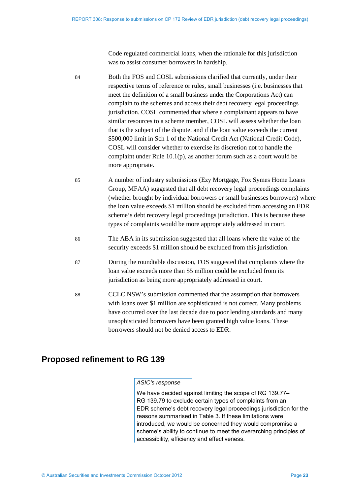Code regulated commercial loans, when the rationale for this jurisdiction was to assist consumer borrowers in hardship.

84 Both the FOS and COSL submissions clarified that currently, under their respective terms of reference or rules, small businesses (i.e. businesses that meet the definition of a small business under the Corporations Act) can complain to the schemes and access their debt recovery legal proceedings jurisdiction. COSL commented that where a complainant appears to have similar resources to a scheme member, COSL will assess whether the loan that is the subject of the dispute, and if the loan value exceeds the current \$500,000 limit in Sch 1 of the National Credit Act (National Credit Code), COSL will consider whether to exercise its discretion not to handle the complaint under Rule 10.1(p), as another forum such as a court would be more appropriate.

- 85 A number of industry submissions (Ezy Mortgage, Fox Symes Home Loans Group, MFAA) suggested that all debt recovery legal proceedings complaints (whether brought by individual borrowers or small businesses borrowers) where the loan value exceeds \$1 million should be excluded from accessing an EDR scheme's debt recovery legal proceedings jurisdiction. This is because these types of complaints would be more appropriately addressed in court.
- 86 The ABA in its submission suggested that all loans where the value of the security exceeds \$1 million should be excluded from this jurisdiction.
- 87 During the roundtable discussion, FOS suggested that complaints where the loan value exceeds more than \$5 million could be excluded from its jurisdiction as being more appropriately addressed in court.
- 88 CCLC NSW's submission commented that the assumption that borrowers with loans over \$1 million are sophisticated is not correct. Many problems have occurred over the last decade due to poor lending standards and many unsophisticated borrowers have been granted high value loans. These borrowers should not be denied access to EDR.

### <span id="page-22-0"></span>**Proposed refinement to RG 139**

#### *ASIC's response*

We have decided against limiting the scope of RG 139.77– RG 139.79 to exclude certain types of complaints from an EDR scheme's debt recovery legal proceedings jurisdiction for the reasons summarised in Table 3. If these limitations were introduced, we would be concerned they would compromise a scheme's ability to continue to meet the overarching principles of accessibility, efficiency and effectiveness.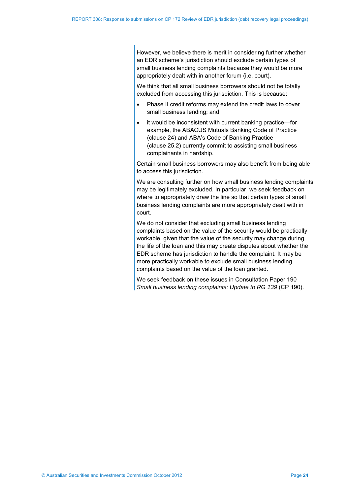However, we believe there is merit in considering further whether an EDR scheme's jurisdiction should exclude certain types of small business lending complaints because they would be more appropriately dealt with in another forum (i.e. court).

We think that all small business borrowers should not be totally excluded from accessing this jurisdiction. This is because:

- Phase II credit reforms may extend the credit laws to cover small business lending; and
- it would be inconsistent with current banking practice—for example, the ABACUS Mutuals Banking Code of Practice (clause 24) and ABA's Code of Banking Practice (clause 25.2) currently commit to assisting small business complainants in hardship.

Certain small business borrowers may also benefit from being able to access this jurisdiction.

We are consulting further on how small business lending complaints may be legitimately excluded. In particular, we seek feedback on where to appropriately draw the line so that certain types of small business lending complaints are more appropriately dealt with in court.

We do not consider that excluding small business lending complaints based on the value of the security would be practically workable, given that the value of the security may change during the life of the loan and this may create disputes about whether the EDR scheme has jurisdiction to handle the complaint. It may be more practically workable to exclude small business lending complaints based on the value of the loan granted.

We seek feedback on these issues in Consultation Paper 190 *Small business lending complaints: Update to RG 139* (CP 190).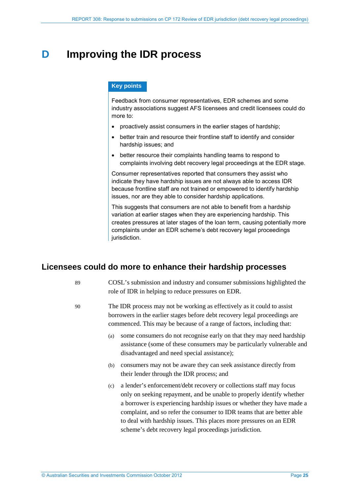## <span id="page-24-0"></span>**D Improving the IDR process**

#### **Key points**

Feedback from consumer representatives, EDR schemes and some industry associations suggest AFS licensees and credit licensees could do more to:

- proactively assist consumers in the earlier stages of hardship;
- better train and resource their frontline staff to identify and consider hardship issues; and
- better resource their complaints handling teams to respond to complaints involving debt recovery legal proceedings at the EDR stage.

Consumer representatives reported that consumers they assist who indicate they have hardship issues are not always able to access IDR because frontline staff are not trained or empowered to identify hardship issues, nor are they able to consider hardship applications.

This suggests that consumers are not able to benefit from a hardship variation at earlier stages when they are experiencing hardship. This creates pressures at later stages of the loan term, causing potentially more complaints under an EDR scheme's debt recovery legal proceedings jurisdiction.

#### <span id="page-24-1"></span>**Licensees could do more to enhance their hardship processes**

89 COSL's submission and industry and consumer submissions highlighted the role of IDR in helping to reduce pressures on EDR.

- 90 The IDR process may not be working as effectively as it could to assist borrowers in the earlier stages before debt recovery legal proceedings are commenced. This may be because of a range of factors, including that:
	- (a) some consumers do not recognise early on that they may need hardship assistance (some of these consumers may be particularly vulnerable and disadvantaged and need special assistance);
	- (b) consumers may not be aware they can seek assistance directly from their lender through the IDR process; and
	- (c) a lender's enforcement/debt recovery or collections staff may focus only on seeking repayment, and be unable to properly identify whether a borrower is experiencing hardship issues or whether they have made a complaint, and so refer the consumer to IDR teams that are better able to deal with hardship issues. This places more pressures on an EDR scheme's debt recovery legal proceedings jurisdiction.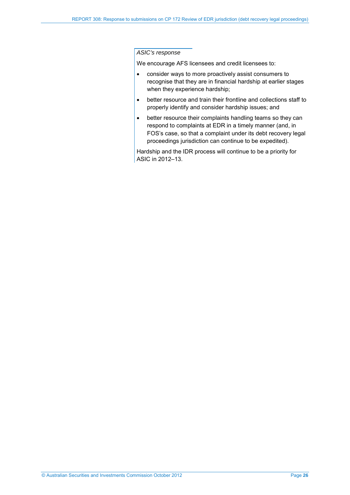#### *ASIC's response*

We encourage AFS licensees and credit licensees to:

- consider ways to more proactively assist consumers to recognise that they are in financial hardship at earlier stages when they experience hardship;
- better resource and train their frontline and collections staff to properly identify and consider hardship issues; and
- better resource their complaints handling teams so they can respond to complaints at EDR in a timely manner (and, in FOS's case, so that a complaint under its debt recovery legal proceedings jurisdiction can continue to be expedited).

Hardship and the IDR process will continue to be a priority for ASIC in 2012–13.